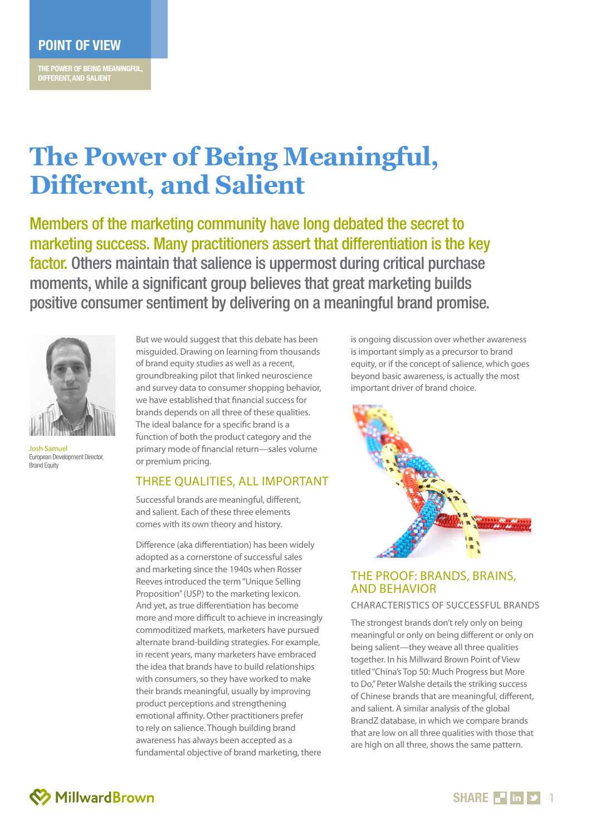**THE POWER OF BEING MEANINGFUL, DIFFERENT, AND SALIENT**

# **The Power of Being Meaningful, Different, and Salient**

Members of the marketing community have long debated the secret to marketing success. Many practitioners assert that differentiation is the key factor. Others maintain that salience is uppermost during critical purchase moments, while a significant group believes that great marketing builds positive consumer sentiment by delivering on a meaningful brand promise.



Josh Samuel European Development Director, **Brand Equity** 

But we would suggest that this debate has been misguided. Drawing on learning from thousands of brand equity studies as well as a recent, groundbreaking pilot that linked neuroscience and survey data to consumer shopping behavior, we have established that financial success for brands depends on all three of these qualities. The ideal balance for a specific brand is a function of both the product category and the primary mode of financial return—sales volume or premium pricing.

### THREE OUALITIES, ALL IMPORTANT

Successful brands are meaningful, different, and salient. Each of these three elements comes with its own theory and history.

Difference (aka differentiation) has been widely adopted as a cornerstone of successful sales and marketing since the 1940s when Rosser Reeves introduced the term "Unique Selling Proposition" (USP) to the marketing lexicon. And yet, as true differentiation has become more and more difficult to achieve in increasingly commoditized markets, marketers have pursued alternate brand-building strategies. For example, in recent years, many marketers have embraced the idea that brands have to build relationships with consumers, so they have worked to make their brands meaningful, usually by improving product perceptions and strengthening emotional affinity. Other practitioners prefer to rely on salience. Though building brand awareness has always been accepted as a fundamental objective of brand marketing, there

is ongoing discussion over whether awareness is important simply as a precursor to brand equity, or if the concept of salience, which goes beyond basic awareness, is actually the most important driver of brand choice.



# The Proof: Brands, Brains, and Behavior

#### Characteristics of Successful Brands

The strongest brands don't rely only on being meaningful or only on being different or only on being salient—they weave all three qualities together. In his Millward Brown Point of View titled "China's Top 50: Much Progress but More to Do," Peter Walshe details the striking success of Chinese brands that are meaningful, different, and salient. A similar analysis of the global BrandZ database, in which we compare brands that are low on all three qualities with those that are high on all three, shows the same pattern.

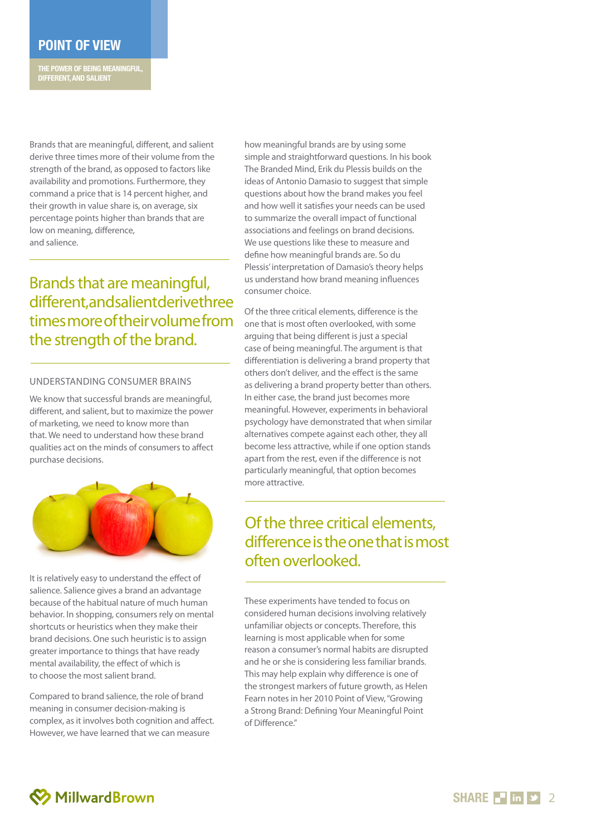# **POINT OF VIEW**

**THE POWER OF BEING MEANINGFUL, DIFFERENT, AND SALIENT**

Brands that are meaningful, different, and salient derive three times more of their volume from the strength of the brand, as opposed to factors like availability and promotions. Furthermore, they command a price that is 14 percent higher, and their growth in value share is, on average, six percentage points higher than brands that are low on meaning, difference, and salience.

Brands that are meaningful, different, and salient derive three times more of their volume from the strength of the brand.

#### Understanding Consumer Brains

We know that successful brands are meaningful, different, and salient, but to maximize the power of marketing, we need to know more than that. We need to understand how these brand qualities act on the minds of consumers to affect purchase decisions.



It is relatively easy to understand the effect of salience. Salience gives a brand an advantage because of the habitual nature of much human behavior. In shopping, consumers rely on mental shortcuts or heuristics when they make their brand decisions. One such heuristic is to assign greater importance to things that have ready mental availability, the effect of which is to choose the most salient brand.

Compared to brand salience, the role of brand meaning in consumer decision-making is complex, as it involves both cognition and affect. However, we have learned that we can measure

how meaningful brands are by using some simple and straightforward questions. In his book The Branded Mind, Erik du Plessis builds on the ideas of Antonio Damasio to suggest that simple questions about how the brand makes you feel and how well it satisfies your needs can be used to summarize the overall impact of functional associations and feelings on brand decisions. We use questions like these to measure and define how meaningful brands are. So du Plessis' interpretation of Damasio's theory helps us understand how brand meaning influences consumer choice.

Of the three critical elements, difference is the one that is most often overlooked, with some arguing that being different is just a special case of being meaningful. The argument is that differentiation is delivering a brand property that others don't deliver, and the effect is the same as delivering a brand property better than others. In either case, the brand just becomes more meaningful. However, experiments in behavioral psychology have demonstrated that when similar alternatives compete against each other, they all become less attractive, while if one option stands apart from the rest, even if the difference is not particularly meaningful, that option becomes more attractive.

# Of the three critical elements, difference is the one that is most often overlooked.

These experiments have tended to focus on considered human decisions involving relatively unfamiliar objects or concepts. Therefore, this learning is most applicable when for some reason a consumer's normal habits are disrupted and he or she is considering less familiar brands. This may help explain why difference is one of the strongest markers of future growth, as Helen Fearn notes in her 2010 Point of View, "Growing a Strong Brand: Defining Your Meaningful Point of Difference."

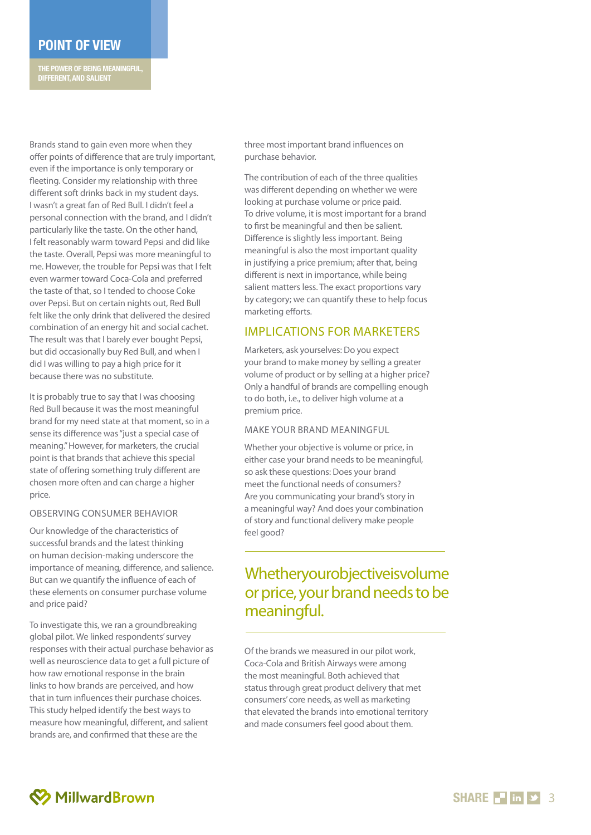# **POINT OF VIEW**

**THE POWER OF BEING MEANINGFUL, DIFFERENT, AND SALIENT**

Brands stand to gain even more when they offer points of difference that are truly important, even if the importance is only temporary or fleeting. Consider my relationship with three different soft drinks back in my student days. I wasn't a great fan of Red Bull. I didn't feel a personal connection with the brand, and I didn't particularly like the taste. On the other hand, I felt reasonably warm toward Pepsi and did like the taste. Overall, Pepsi was more meaningful to me. However, the trouble for Pepsi was that I felt even warmer toward Coca-Cola and preferred the taste of that, so I tended to choose Coke over Pepsi. But on certain nights out, Red Bull felt like the only drink that delivered the desired combination of an energy hit and social cachet. The result was that I barely ever bought Pepsi, but did occasionally buy Red Bull, and when I did I was willing to pay a high price for it because there was no substitute.

It is probably true to say that I was choosing<br>Red Bull because it was the most meaningful brand for my need state at that moment, so in a sense its difference was "just a special case of meaning." However, for marketers, the crucial point is that brands that achieve this special state of offering something truly different are chosen more often and can charge a higher price .

#### Observing Consumer Behavior

Our knowledge of the characteristics of successful brands and the latest thinking on human decision-making underscore the importance of meaning, difference, and salience. But can we quantify the influence of each of these elements on consumer purchase volume and price paid?

To investigate this, we ran a groundbreaking global pilot. We linked respondents' survey responses with their actual purchase behavior as well as neuroscience data to get a full picture of how raw emotional response in the brain links to how brands are perceived, and how that in turn influences their purchase choices. This study helped identify the best ways to measure how meaningful, different, and salient brands are, and confirmed that these are the

three most important brand influences on purchase behavior.

The contribution of each of the three qualities was different depending on whether we were looking at purchase volume or price paid. To drive volume, it is most important for a brand to first be meaningful and then be salient. Difference is slightly less important. Being meaningful is also the most important quality in justifying a price premium; after that, being different is next in importance, while being salient matters less. The exact proportions vary by category; we can quantify these to help focus marketing efforts.

### IMPLICATIONS FOR MARKETERS

Marketers, ask yourselves: Do you expect your brand to make money by selling a greater volume of product or by selling at a higher price?<br>Only a handful of brands are compelling enough to do both, i.e., to deliver high volume at a premium price.

#### Make Your Bran d Meaning ful

Whether your objective is volume or price, in either case your brand needs to be meaningful, so ask these questions: Does your brand meet the functional needs of consumers? Are you communicating your brand's story in a meaningful way? And does your combination of story and functional delivery make people

# feel good?<br> **Whetheryourobjectiveisvol**<br> **or price, your brand needs**<br> **meaningful.**<br>
Of the brands we measured in our pilot work, Whetheryourobjectiveisvolume or price, your brand needs to be meaningful.

Coca-Cola and British Airways were among the most meaningful. Both achieved that status through great product delivery that met consumers' core needs, as well as marketing that elevated the brands into emotional territory and made consumers feel good about them.